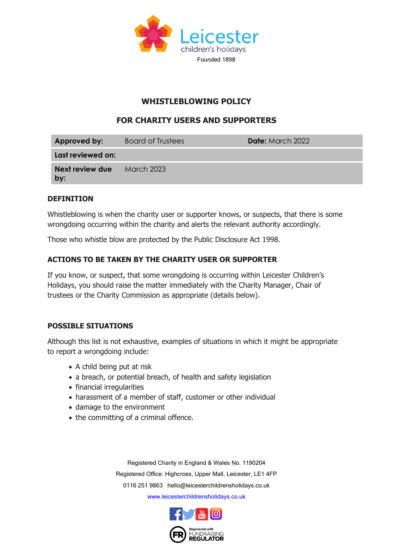

# **WHISTLEBLOWING POLICY**

# **FOR CHARITY USERS AND SUPPORTERS**

| Approved by:           | <b>Board of Trustees</b> | <b>Date:</b> March 2022 |
|------------------------|--------------------------|-------------------------|
| Last reviewed on:      |                          |                         |
| Next review due<br>by: | March 2023               |                         |

#### **DEFINITION**

Whistleblowing is when the charity user or supporter knows, or suspects, that there is some wrongdoing occurring within the charity and alerts the relevant authority accordingly.

Those who whistle blow are protected by the Public Disclosure Act 1998.

### **ACTIONS TO BE TAKEN BY THE CHARITY USER OR SUPPORTER**

If you know, or suspect, that some wrongdoing is occurring within Leicester Children's Holidays, you should raise the matter immediately with the Charity Manager, Chair of trustees or the Charity Commission as appropriate (details below).

#### **POSSIBLE SITUATIONS**

Although this list is not exhaustive, examples of situations in which it might be appropriate to report a wrongdoing include:

- A child being put at risk
- a breach, or potential breach, of health and safety legislation
- financial irregularities
- harassment of a member of staff, customer or other individual
- damage to the environment
- the committing of a criminal offence.

Registered Charity in England & Wales No. 1190204 Registered Office: Highcross, Upper Mall, Leicester, LE1 4FP 0116 251 9863 [hello@leicesterchildrensholidays.co.uk](mailto:hello@leicesterchildrensholidays.co.uk) [www.leicesterchildrensholidays.co.uk](http://www.leicesterchildrensholidays.co.uk/)

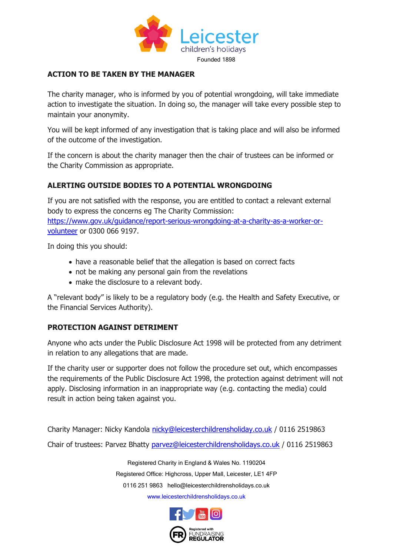

## **ACTION TO BE TAKEN BY THE MANAGER**

The charity manager, who is informed by you of potential wrongdoing, will take immediate action to investigate the situation. In doing so, the manager will take every possible step to maintain your anonymity.

You will be kept informed of any investigation that is taking place and will also be informed of the outcome of the investigation.

If the concern is about the charity manager then the chair of trustees can be informed or the Charity Commission as appropriate.

## **ALERTING OUTSIDE BODIES TO A POTENTIAL WRONGDOING**

If you are not satisfied with the response, you are entitled to contact a relevant external body to express the concerns eg The Charity Commission: [https://www.gov.uk/guidance/report-serious-wrongdoing-at-a-charity-as-a-worker-or](https://www.gov.uk/guidance/report-serious-wrongdoing-at-a-charity-as-a-worker-or-volunteer)[volunteer](https://www.gov.uk/guidance/report-serious-wrongdoing-at-a-charity-as-a-worker-or-volunteer) or 0300 066 9197.

In doing this you should:

- have a reasonable belief that the allegation is based on correct facts
- not be making any personal gain from the revelations
- make the disclosure to a relevant body.

A "relevant body" is likely to be a regulatory body (e.g. the Health and Safety Executive, or the Financial Services Authority).

#### **PROTECTION AGAINST DETRIMENT**

Anyone who acts under the Public Disclosure Act 1998 will be protected from any detriment in relation to any allegations that are made.

If the charity user or supporter does not follow the procedure set out, which encompasses the requirements of the Public Disclosure Act 1998, the protection against detriment will not apply. Disclosing information in an inappropriate way (e.g. contacting the media) could result in action being taken against you.

Charity Manager: Nicky Kandola [nicky@leicesterchildrensholiday.co.uk](mailto:nicky@leicesterchildrensholiday.co.uk) / 0116 2519863 Chair of trustees: Parvez Bhatty [parvez@leicesterchildrensholidays.co.uk](mailto:parvez@leicesterchildrensholidays.co.uk) / 0116 2519863

> Registered Charity in England & Wales No. 1190204 Registered Office: Highcross, Upper Mall, Leicester, LE1 4FP 0116 251 9863 [hello@leicesterchildrensholidays.co.uk](mailto:hello@leicesterchildrensholidays.co.uk) [www.leicesterchildrensholidays.co.uk](http://www.leicesterchildrensholidays.co.uk/)